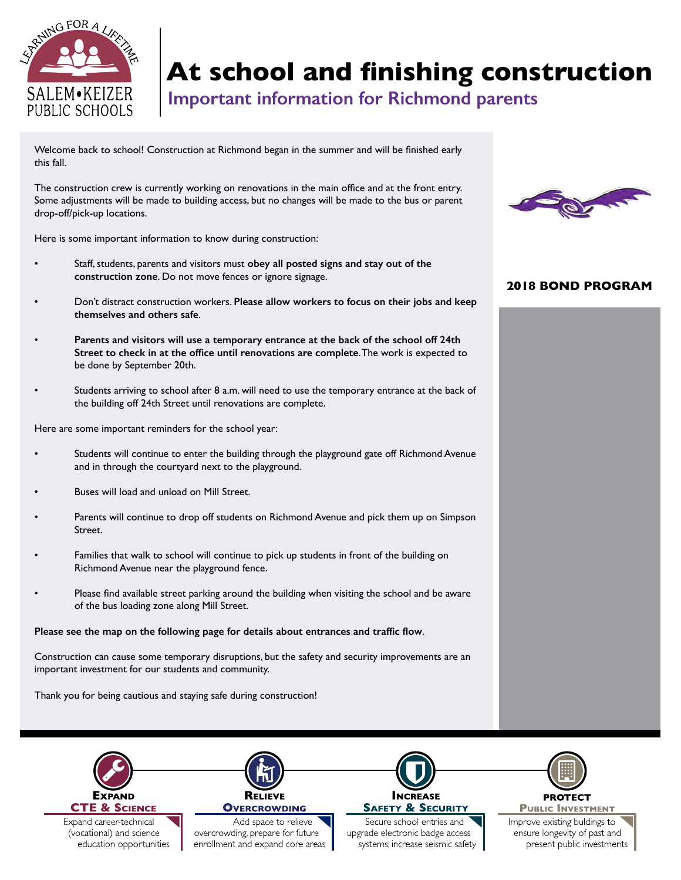

## **At school and finishing construction**

**Important information for Richmond parents**

Welcome back to school! Construction at Richmond began in the summer and will be finished early this fall.

The construction crew is currently working on renovations in the main office and at the front entry. Some adjustments will be made to building access, but no changes will be made to the bus or parent drop-off/pick-up locations.

Here is some important information to know during construction:

- Staff, students, parents and visitors must **obey all posted signs and stay out of the construction zone**. Do not move fences or ignore signage.
- Don't distract construction workers. **Please allow workers to focus on their jobs and keep themselves and others safe**.
- **Parents and visitors will use a temporary entrance at the back of the school off 24th Street to check in at the office until renovations are complete**. The work is expected to be done by September 20th.
- Students arriving to school after 8 a.m. will need to use the temporary entrance at the back of the building off 24th Street until renovations are complete.

Here are some important reminders for the school year:

- Students will continue to enter the building through the playground gate off Richmond Avenue and in through the courtyard next to the playground.
- Buses will load and unload on Mill Street.
- Parents will continue to drop off students on Richmond Avenue and pick them up on Simpson Street.
- Families that walk to school will continue to pick up students in front of the building on Richmond Avenue near the playground fence.
- Please find available street parking around the building when visiting the school and be aware of the bus loading zone along Mill Street.

## **Please see the map on the following page for details about entrances and traffic flow**.

Construction can cause some temporary disruptions, but the safety and security improvements are an important investment for our students and community.

Thank you for being cautious and staying safe during construction!



## **2018 BOND PROGRAM**





**PUBLIC INVESTMENT** 

Improve existing buldings to ensure longevity of past and present public investments